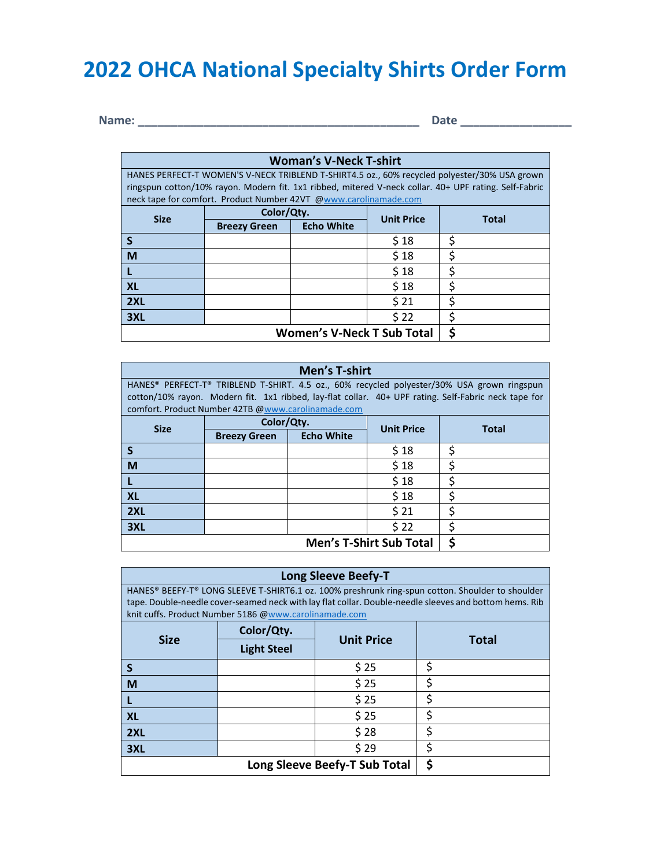# **2022 OHCA National Specialty Shirts Order Form**

**Name: \_\_\_\_\_\_\_\_\_\_\_\_\_\_\_\_\_\_\_\_\_\_\_\_\_\_\_\_\_\_\_\_\_\_\_\_\_\_\_\_\_\_\_ Date \_\_\_\_\_\_\_\_\_\_\_\_\_\_\_\_\_**

| <b>Woman's V-Neck T-shirt</b>                                                                |                                                                  |                   |                   |                                                                                                       |
|----------------------------------------------------------------------------------------------|------------------------------------------------------------------|-------------------|-------------------|-------------------------------------------------------------------------------------------------------|
| HANES PERFECT-T WOMEN'S V-NECK TRIBLEND T-SHIRT4.5 oz., 60% recycled polyester/30% USA grown |                                                                  |                   |                   |                                                                                                       |
|                                                                                              |                                                                  |                   |                   | ringspun cotton/10% rayon. Modern fit. 1x1 ribbed, mitered V-neck collar. 40+ UPF rating. Self-Fabric |
|                                                                                              | neck tape for comfort. Product Number 42VT @www.carolinamade.com |                   |                   |                                                                                                       |
| <b>Size</b>                                                                                  | Color/Qty.                                                       |                   | <b>Unit Price</b> | Total                                                                                                 |
|                                                                                              | <b>Breezy Green</b>                                              | <b>Echo White</b> |                   |                                                                                                       |
|                                                                                              |                                                                  |                   | \$18              |                                                                                                       |
| M                                                                                            |                                                                  |                   | \$18              |                                                                                                       |
|                                                                                              |                                                                  |                   | \$18              |                                                                                                       |
| <b>XL</b>                                                                                    |                                                                  |                   | \$18              |                                                                                                       |
| 2XL                                                                                          |                                                                  |                   | \$21              |                                                                                                       |
| 3XL                                                                                          |                                                                  |                   | \$22              |                                                                                                       |
| <b>Women's V-Neck T Sub Total</b>                                                            |                                                                  |                   |                   |                                                                                                       |

| Men's T-shirt                       |                                                    |                   |                   |                                                                                                      |
|-------------------------------------|----------------------------------------------------|-------------------|-------------------|------------------------------------------------------------------------------------------------------|
|                                     |                                                    |                   |                   | HANES® PERFECT-T® TRIBLEND T-SHIRT. 4.5 oz., 60% recycled polyester/30% USA grown ringspun           |
|                                     |                                                    |                   |                   | cotton/10% rayon. Modern fit. 1x1 ribbed, lay-flat collar. 40+ UPF rating. Self-Fabric neck tape for |
|                                     | comfort. Product Number 42TB @www.carolinamade.com |                   |                   |                                                                                                      |
| <b>Size</b>                         | Color/Qty.                                         |                   | <b>Unit Price</b> | <b>Total</b>                                                                                         |
|                                     | <b>Breezy Green</b>                                | <b>Echo White</b> |                   |                                                                                                      |
|                                     |                                                    |                   | \$18              | ς                                                                                                    |
| M                                   |                                                    |                   | \$18              | ς                                                                                                    |
|                                     |                                                    |                   | \$18              | ς                                                                                                    |
| <b>XL</b>                           |                                                    |                   | \$18              | ς                                                                                                    |
| 2XL                                 |                                                    |                   | \$21              | ς                                                                                                    |
| 3XL                                 |                                                    |                   | \$22              |                                                                                                      |
| S<br><b>Men's T-Shirt Sub Total</b> |                                                    |                   |                   |                                                                                                      |

| <b>Long Sleeve Beefy-T</b>                                                                                                                                                                                                                                          |                    |                   |              |  |
|---------------------------------------------------------------------------------------------------------------------------------------------------------------------------------------------------------------------------------------------------------------------|--------------------|-------------------|--------------|--|
| HANES® BEEFY-T® LONG SLEEVE T-SHIRT6.1 oz. 100% preshrunk ring-spun cotton. Shoulder to shoulder<br>tape. Double-needle cover-seamed neck with lay flat collar. Double-needle sleeves and bottom hems. Rib<br>knit cuffs. Product Number 5186 @www.carolinamade.com |                    |                   |              |  |
|                                                                                                                                                                                                                                                                     | Color/Qty.         |                   | <b>Total</b> |  |
| <b>Size</b>                                                                                                                                                                                                                                                         | <b>Light Steel</b> | <b>Unit Price</b> |              |  |
| S                                                                                                                                                                                                                                                                   |                    | \$25              | \$           |  |
| M                                                                                                                                                                                                                                                                   |                    | \$25              | ς            |  |
|                                                                                                                                                                                                                                                                     |                    | \$ 25             | ς            |  |
| XL                                                                                                                                                                                                                                                                  |                    | \$ 25             | ς            |  |
| 2XL                                                                                                                                                                                                                                                                 |                    | \$28              | Ś            |  |
| 3XL                                                                                                                                                                                                                                                                 |                    | \$29              | S            |  |
| \$<br>Long Sleeve Beefy-T Sub Total                                                                                                                                                                                                                                 |                    |                   |              |  |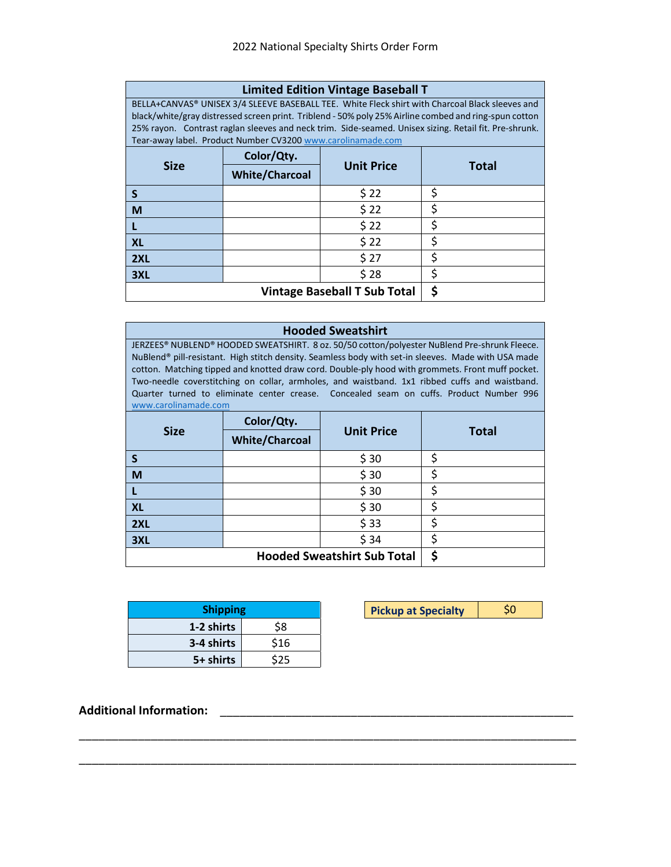| <b>Limited Edition Vintage Baseball T</b> |  |
|-------------------------------------------|--|
|-------------------------------------------|--|

BELLA+CANVAS® UNISEX 3/4 SLEEVE BASEBALL TEE. White Fleck shirt with Charcoal Black sleeves and black/white/gray distressed screen print. Triblend - 50% poly 25% Airline combed and ring-spun cotton 25% rayon. Contrast raglan sleeves and neck trim. Side-seamed. Unisex sizing. Retail fit. Pre-shrunk. Tear-away label. Product Number CV320[0 www.carolinamade.com](file:///C:/Users/Ashka/OneDrive/Documents/OHCA/0HCA%202020/Specialty/2022%20Specialty/Merchandise/www.carolinamade.com)

| <b>Size</b>                         | Color/Qty.            | <b>Unit Price</b> | <b>Total</b> |
|-------------------------------------|-----------------------|-------------------|--------------|
|                                     | <b>White/Charcoal</b> |                   |              |
|                                     |                       | \$22              |              |
| M                                   |                       | \$22              |              |
|                                     |                       | \$22              |              |
| <b>XL</b>                           |                       | \$22              |              |
| 2XL                                 |                       | \$27              |              |
| 3XL                                 |                       | \$28              |              |
| <b>Vintage Baseball T Sub Total</b> |                       |                   | c            |

#### **Hooded Sweatshirt**

JERZEES® NUBLEND® HOODED SWEATSHIRT. 8 oz. 50/50 cotton/polyester NuBlend Pre-shrunk Fleece. NuBlend® pill-resistant. High stitch density. Seamless body with set-in sleeves. Made with USA made cotton. Matching tipped and knotted draw cord. Double-ply hood with grommets. Front muff pocket. Two-needle coverstitching on collar, armholes, and waistband. 1x1 ribbed cuffs and waistband. Quarter turned to eliminate center crease. Concealed seam on cuffs. Product Number 996 [www.carolinamade.com](file:///C:/Users/Ashka/OneDrive/Documents/OHCA/0HCA%202020/Specialty/2022%20Specialty/Merchandise/www.carolinamade.com)

| <b>Size</b>                        | Color/Qty.            |                   |  |              |
|------------------------------------|-----------------------|-------------------|--|--------------|
|                                    | <b>White/Charcoal</b> | <b>Unit Price</b> |  | <b>Total</b> |
| S                                  |                       | \$30              |  |              |
| M                                  |                       | \$30              |  |              |
|                                    |                       | \$30              |  |              |
| <b>XL</b>                          |                       | \$30              |  |              |
| 2XL                                |                       | \$33              |  |              |
| 3XL                                |                       | \$34              |  |              |
| <b>Hooded Sweatshirt Sub Total</b> |                       |                   |  |              |

\_\_\_\_\_\_\_\_\_\_\_\_\_\_\_\_\_\_\_\_\_\_\_\_\_\_\_\_\_\_\_\_\_\_\_\_\_\_\_\_\_\_\_\_\_\_\_\_\_\_\_\_\_\_\_\_\_\_\_\_\_\_\_\_\_\_\_\_\_\_\_\_\_\_\_\_

\_\_\_\_\_\_\_\_\_\_\_\_\_\_\_\_\_\_\_\_\_\_\_\_\_\_\_\_\_\_\_\_\_\_\_\_\_\_\_\_\_\_\_\_\_\_\_\_\_\_\_\_\_\_\_\_\_\_\_\_\_\_\_\_\_\_\_\_\_\_\_\_\_\_\_\_

| <b>Shipping</b> |      |  |  |
|-----------------|------|--|--|
| 1-2 shirts      | \$8  |  |  |
| 3-4 shirts      | \$16 |  |  |
| 5+ shirts       |      |  |  |

| <b>Shipping</b> | <b>Pickup at Specialty</b> |  |
|-----------------|----------------------------|--|
|                 |                            |  |

**Additional Information:** \_\_\_\_\_\_\_\_\_\_\_\_\_\_\_\_\_\_\_\_\_\_\_\_\_\_\_\_\_\_\_\_\_\_\_\_\_\_\_\_\_\_\_\_\_\_\_\_\_\_\_\_\_\_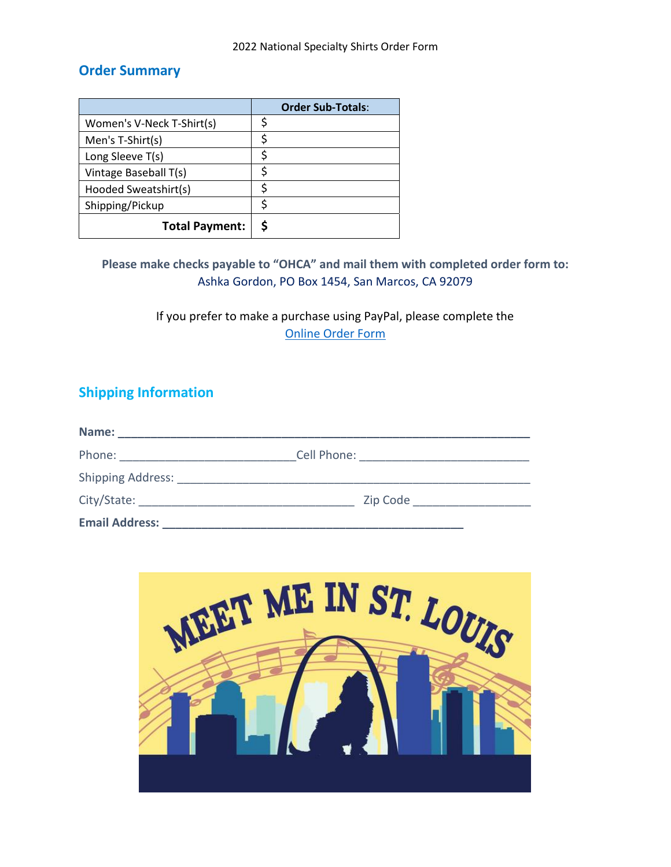# **Order Summary**

|                           | <b>Order Sub-Totals:</b> |
|---------------------------|--------------------------|
| Women's V-Neck T-Shirt(s) |                          |
| Men's T-Shirt(s)          |                          |
| Long Sleeve T(s)          |                          |
| Vintage Baseball T(s)     |                          |
| Hooded Sweatshirt(s)      |                          |
| Shipping/Pickup           |                          |
| <b>Total Payment:</b>     |                          |

## **Please make checks payable to "OHCA" and mail them with completed order form to:**  Ashka Gordon, PO Box 1454, San Marcos, CA 92079

If you prefer to make a purchase using PayPal, please complete the [Online Order Form](https://form.jotform.com/221037398569971)

# **Shipping Information**

| Name:                    |             |  |
|--------------------------|-------------|--|
| Phone:                   | Cell Phone: |  |
| <b>Shipping Address:</b> |             |  |
| City/State:              | Zip Code    |  |
| <b>Email Address:</b>    |             |  |